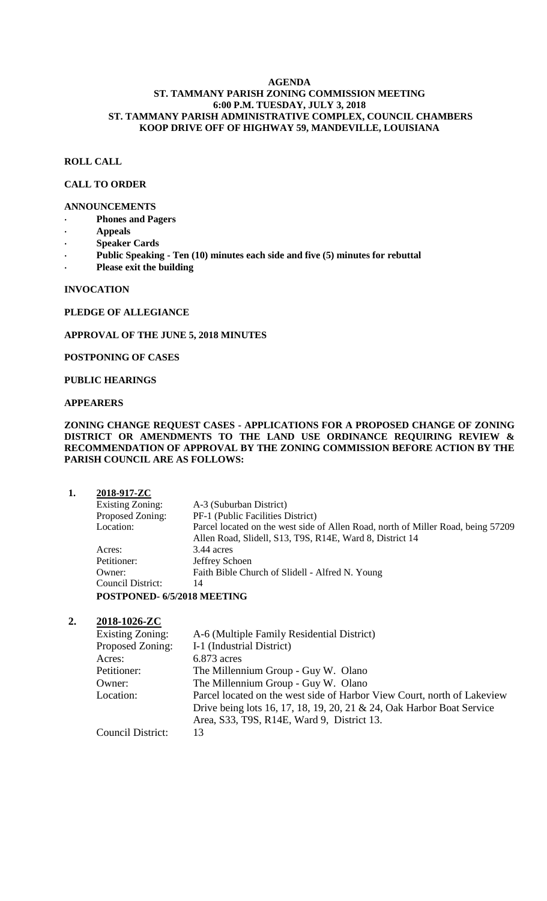#### **AGENDA ST. TAMMANY PARISH ZONING COMMISSION MEETING 6:00 P.M. TUESDAY, JULY 3, 2018 ST. TAMMANY PARISH ADMINISTRATIVE COMPLEX, COUNCIL CHAMBERS KOOP DRIVE OFF OF HIGHWAY 59, MANDEVILLE, LOUISIANA**

#### **ROLL CALL**

### **CALL TO ORDER**

#### **ANNOUNCEMENTS**

- **Phones and Pagers**
- **Appeals**
- **Speaker Cards**
- **Public Speaking - Ten (10) minutes each side and five (5) minutes for rebuttal**
- **Please exit the building**

## **INVOCATION**

**PLEDGE OF ALLEGIANCE**

### **APPROVAL OF THE JUNE 5, 2018 MINUTES**

**POSTPONING OF CASES**

#### **PUBLIC HEARINGS**

#### **APPEARERS**

#### **ZONING CHANGE REQUEST CASES - APPLICATIONS FOR A PROPOSED CHANGE OF ZONING DISTRICT OR AMENDMENTS TO THE LAND USE ORDINANCE REQUIRING REVIEW & RECOMMENDATION OF APPROVAL BY THE ZONING COMMISSION BEFORE ACTION BY THE PARISH COUNCIL ARE AS FOLLOWS:**

| 1. | 2018-917-ZC                |                                                                                  |
|----|----------------------------|----------------------------------------------------------------------------------|
|    | Existing Zoning:           | A-3 (Suburban District)                                                          |
|    | Proposed Zoning:           | PF-1 (Public Facilities District)                                                |
|    | Location:                  | Parcel located on the west side of Allen Road, north of Miller Road, being 57209 |
|    |                            | Allen Road, Slidell, S13, T9S, R14E, Ward 8, District 14                         |
|    | Acres:                     | $3.44$ acres                                                                     |
|    | Petitioner:                | Jeffrey Schoen                                                                   |
|    | Owner:                     | Faith Bible Church of Slidell - Alfred N. Young                                  |
|    | Council District:          | 14                                                                               |
|    | POSTPONED-6/5/2018 MEETING |                                                                                  |
|    |                            |                                                                                  |

#### **2. 2018-1026-ZC**

| Existing Zoning:  | A-6 (Multiple Family Residential District)                              |
|-------------------|-------------------------------------------------------------------------|
| Proposed Zoning:  | I-1 (Industrial District)                                               |
| Acres:            | $6.873$ acres                                                           |
| Petitioner:       | The Millennium Group - Guy W. Olano                                     |
| Owner:            | The Millennium Group - Guy W. Olano                                     |
| Location:         | Parcel located on the west side of Harbor View Court, north of Lakeview |
|                   | Drive being lots 16, 17, 18, 19, 20, 21 & 24, Oak Harbor Boat Service   |
|                   | Area, S33, T9S, R14E, Ward 9, District 13.                              |
| Council District: | 13                                                                      |